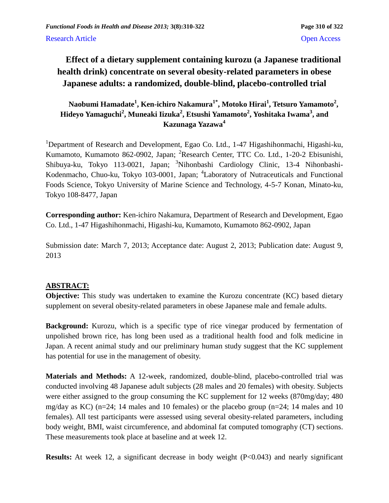# **Effect of a dietary supplement containing kurozu (a Japanese traditional health drink) concentrate on several obesity-related parameters in obese Japanese adults: a randomized, double-blind, placebo-controlled trial**

## **Naobumi Hamadate<sup>1</sup> , Ken-ichiro Nakamura1\*, Motoko Hirai<sup>1</sup> , Tetsuro Yamamoto<sup>2</sup> , Hideyo Yamaguchi<sup>2</sup> , Muneaki Iizuka<sup>2</sup> , Etsushi Yamamoto<sup>2</sup> , Yoshitaka Iwama<sup>3</sup> , and Kazunaga Yazawa<sup>4</sup>**

<sup>1</sup>Department of Research and Development, Egao Co. Ltd., 1-47 Higashihonmachi, Higashi-ku, Kumamoto, Kumamoto 862-0902, Japan; <sup>2</sup>Research Center, TTC Co. Ltd., 1-20-2 Ebisunishi, Shibuya-ku, Tokyo 113-0021, Japan; <sup>3</sup>Nihonbashi Cardiology Clinic, 13-4 Nihonbashi-Kodenmacho, Chuo-ku, Tokyo 103-0001, Japan; <sup>4</sup>Laboratory of Nutraceuticals and Functional Foods Science, Tokyo University of Marine Science and Technology, 4-5-7 Konan, Minato-ku, Tokyo 108-8477, Japan

**Corresponding author:** Ken-ichiro Nakamura, Department of Research and Development, Egao Co. Ltd., 1-47 Higashihonmachi, Higashi-ku, Kumamoto, Kumamoto 862-0902, Japan

Submission date: March 7, 2013; Acceptance date: August 2, 2013; Publication date: August 9, 2013

## **ABSTRACT:**

**Objective:** This study was undertaken to examine the Kurozu concentrate (KC) based dietary supplement on several obesity-related parameters in obese Japanese male and female adults.

**Background:** Kurozu, which is a specific type of rice vinegar produced by fermentation of unpolished brown rice, has long been used as a traditional health food and folk medicine in Japan. A recent animal study and our preliminary human study suggest that the KC supplement has potential for use in the management of obesity.

**Materials and Methods:** A 12-week, randomized, double-blind, placebo-controlled trial was conducted involving 48 Japanese adult subjects (28 males and 20 females) with obesity. Subjects were either assigned to the group consuming the KC supplement for 12 weeks (870mg/day; 480 mg/day as KC) (n=24; 14 males and 10 females) or the placebo group (n=24; 14 males and 10 females). All test participants were assessed using several obesity-related parameters, including body weight, BMI, waist circumference, and abdominal fat computed tomography (CT) sections. These measurements took place at baseline and at week 12.

**Results:** At week 12, a significant decrease in body weight (P<0.043) and nearly significant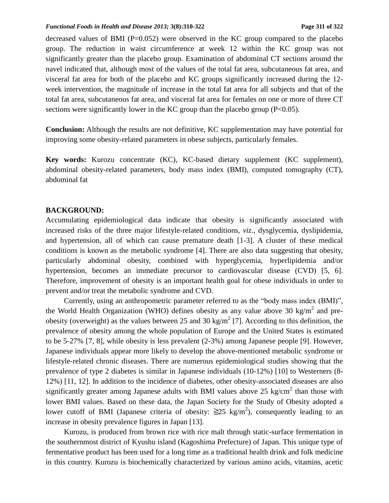#### *Functional Foods in Health and Disease 2013;* **3(8):310-322 Page 311 of 322**

decreased values of BMI ( $P=0.052$ ) were observed in the KC group compared to the placebo group. The reduction in waist circumference at week 12 within the KC group was not significantly greater than the placebo group. Examination of abdominal CT sections around the navel indicated that, although most of the values of the total fat area, subcutaneous fat area, and visceral fat area for both of the placebo and KC groups significantly increased during the 12 week intervention, the magnitude of increase in the total fat area for all subjects and that of the total fat area, subcutaneous fat area, and visceral fat area for females on one or more of three CT sections were significantly lower in the KC group than the placebo group  $(P<0.05)$ .

**Conclusion:** Although the results are not definitive, KC supplementation may have potential for improving some obesity-related parameters in obese subjects, particularly females.

**Key words:** Kurozu concentrate (KC), KC-based dietary supplement (KC supplement), abdominal obesity-related parameters, body mass index (BMI), computed tomography (CT), abdominal fat

### **BACKGROUND:**

Accumulating epidemiological data indicate that obesity is significantly associated with increased risks of the three major lifestyle-related conditions, *viz*., dysglycemia, dyslipidemia, and hypertension, all of which can cause premature death [1-3]. A cluster of these medical conditions is known as the metabolic syndrome [4]. There are also data suggesting that obesity, particularly abdominal obesity, combined with hyperglycemia, hyperlipidemia and/or hypertension, becomes an immediate precursor to cardiovascular disease (CVD) [5, 6]. Therefore, improvement of obesity is an important health goal for obese individuals in order to prevent and/or treat the metabolic syndrome and CVD.

Currently, using an anthropometric parameter referred to as the "body mass index (BMI)", the World Health Organization (WHO) defines obesity as any value above 30 kg/m<sup>2</sup> and preobesity (overweight) as the values between 25 and 30 kg/m<sup>2</sup> [7]. According to this definition, the prevalence of obesity among the whole population of Europe and the United States is estimated to be 5-27% [7, 8], while obesity is less prevalent (2-3%) among Japanese people [9]. However, Japanese individuals appear more likely to develop the above-mentioned metabolic syndrome or lifestyle-related chronic diseases. There are numerous epidemiological studies showing that the prevalence of type 2 diabetes is similar in Japanese individuals (10-12%) [10] to Westerners (8- 12%) [11, 12]. In addition to the incidence of diabetes, other obesity-associated diseases are also significantly greater among Japanese adults with BMI values above 25 kg/cm<sup>2</sup> than those with lower BMI values. Based on these data, the Japan Society for the Study of Obesity adopted a lower cutoff of BMI (Japanese criteria of obesity:  $\geq 25$  kg/m<sup>2</sup>), consequently leading to an increase in obesity prevalence figures in Japan [13].

Kurozu, is produced from brown rice with rice malt through static-surface fermentation in the southernmost district of Kyushu island (Kagoshima Prefecture) of Japan. This unique type of fermentative product has been used for a long time as a traditional health drink and folk medicine in this country. Kurozu is biochemically characterized by various amino acids, vitamins, acetic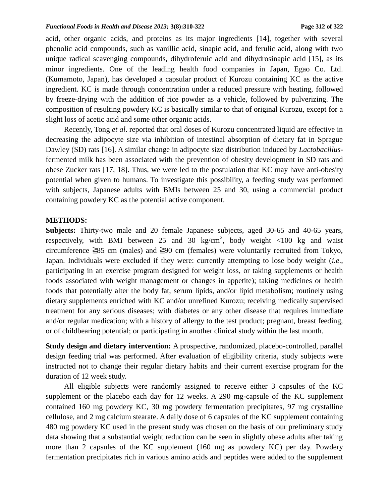acid, other organic acids, and proteins as its major ingredients [14], together with several phenolic acid compounds, such as vanillic acid, sinapic acid, and ferulic acid, along with two unique radical scavenging compounds, dihydroferuic acid and dihydrosinapic acid [15], as its minor ingredients. One of the leading health food companies in Japan, Egao Co. Ltd. (Kumamoto, Japan), has developed a capsular product of Kurozu containing KC as the active ingredient. KC is made through concentration under a reduced pressure with heating, followed by freeze-drying with the addition of rice powder as a vehicle, followed by pulverizing. The composition of resulting powdery KC is basically similar to that of original Kurozu, except for a slight loss of acetic acid and some other organic acids.

Recently, Tong *et al*. reported that oral doses of Kurozu concentrated liquid are effective in decreasing the adipocyte size via inhibition of intestinal absorption of dietary fat in Sprague Dawley (SD) rats [16]. A similar change in adipocyte size distribution induced by *Lactobacillus*fermented milk has been associated with the prevention of obesity development in SD rats and obese Zucker rats [17, 18]. Thus, we were led to the postulation that KC may have anti-obesity potential when given to humans. To investigate this possibility, a feeding study was performed with subjects, Japanese adults with BMIs between 25 and 30, using a commercial product containing powdery KC as the potential active component.

### **METHODS:**

**Subjects:** Thirty-two male and 20 female Japanese subjects, aged 30-65 and 40-65 years, respectively, with BMI between 25 and 30 kg/cm<sup>2</sup>, body weight <100 kg and waist circumference ≧85 cm (males) and ≧90 cm (females) were voluntarily recruited from Tokyo, Japan. Individuals were excluded if they were: currently attempting to lose body weight (*i.e*., participating in an exercise program designed for weight loss, or taking supplements or health foods associated with weight management or changes in appetite); taking medicines or health foods that potentially alter the body fat, serum lipids, and/or lipid metabolism; routinely using dietary supplements enriched with KC and/or unrefined Kurozu; receiving medically supervised treatment for any serious diseases; with diabetes or any other disease that requires immediate and/or regular medication; with a history of allergy to the test product; pregnant, breast feeding, or of childbearing potential; or participating in another clinical study within the last month.

**Study design and dietary intervention:** A prospective, randomized, placebo-controlled, parallel design feeding trial was performed. After evaluation of eligibility criteria, study subjects were instructed not to change their regular dietary habits and their current exercise program for the duration of 12 week study.

All eligible subjects were randomly assigned to receive either 3 capsules of the KC supplement or the placebo each day for 12 weeks. A 290 mg-capsule of the KC supplement contained 160 mg powdery KC, 30 mg powdery fermentation precipitates, 97 mg crystalline cellulose, and 2 mg calcium stearate. A daily dose of 6 capsules of the KC supplement containing 480 mg powdery KC used in the present study was chosen on the basis of our preliminary study data showing that a substantial weight reduction can be seen in slightly obese adults after taking more than 2 capsules of the KC supplement (160 mg as powdery KC) per day. Powdery fermentation precipitates rich in various amino acids and peptides were added to the supplement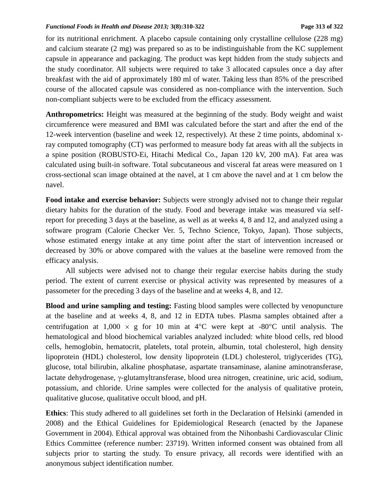#### *Functional Foods in Health and Disease 2013;* **3(8):310-322 Page 313 of 322**

for its nutritional enrichment. A placebo capsule containing only crystalline cellulose (228 mg) and calcium stearate (2 mg) was prepared so as to be indistinguishable from the KC supplement capsule in appearance and packaging. The product was kept hidden from the study subjects and the study coordinator. All subjects were required to take 3 allocated capsules once a day after breakfast with the aid of approximately 180 ml of water. Taking less than 85% of the prescribed course of the allocated capsule was considered as non-compliance with the intervention. Such non-compliant subjects were to be excluded from the efficacy assessment.

**Anthropometrics:** Height was measured at the beginning of the study. Body weight and waist circumference were measured and BMI was calculated before the start and after the end of the 12-week intervention (baseline and week 12, respectively). At these 2 time points, abdominal xray computed tomography (CT) was performed to measure body fat areas with all the subjects in a spine position (ROBUSTO-Ei, Hitachi Medical Co., Japan 120 kV, 200 mA). Fat area was calculated using built-in software. Total subcutaneous and visceral fat areas were measured on 1 cross-sectional scan image obtained at the navel, at 1 cm above the navel and at 1 cm below the navel.

**Food intake and exercise behavior:** Subjects were strongly advised not to change their regular dietary habits for the duration of the study. Food and beverage intake was measured via selfreport for preceding 3 days at the baseline, as well as at weeks 4, 8 and 12, and analyzed using a software program (Calorie Checker Ver. 5, Techno Science, Tokyo, Japan). Those subjects, whose estimated energy intake at any time point after the start of intervention increased or decreased by 30% or above compared with the values at the baseline were removed from the efficacy analysis.

All subjects were advised not to change their regular exercise habits during the study period. The extent of current exercise or physical activity was represented by measures of a passometer for the preceding 3 days of the baseline and at weeks 4, 8, and 12.

**Blood and urine sampling and testing:** Fasting blood samples were collected by venopuncture at the baseline and at weeks 4, 8, and 12 in EDTA tubes. Plasma samples obtained after a centrifugation at 1,000  $\times$  g for 10 min at 4<sup>o</sup>C were kept at -80<sup>o</sup>C until analysis. The hematological and blood biochemical variables analyzed included: white blood cells, red blood cells, hemoglobin, hematocrit, platelets, total protein, albumin, total cholesterol, high density lipoprotein (HDL) cholesterol, low density lipoprotein (LDL) cholesterol, triglycerides (TG), glucose, total bilirubin, alkaline phosphatase, aspartate transaminase, alanine aminotransferase, lactate dehydrogenase,  $\gamma$ -glutamyltransferase, blood urea nitrogen, creatinine, uric acid, sodium, potassium, and chloride. Urine samples were collected for the analysis of qualitative protein, qualitative glucose, qualitative occult blood, and pH.

**Ethics**: This study adhered to all guidelines set forth in the Declaration of Helsinki (amended in 2008) and the Ethical Guidelines for Epidemiological Research (enacted by the Japanese Government in 2004). Ethical approval was obtained from the Nihonbashi Cardiovascular Clinic Ethics Committee (reference number: 23719). Written informed consent was obtained from all subjects prior to starting the study. To ensure privacy, all records were identified with an anonymous subject identification number.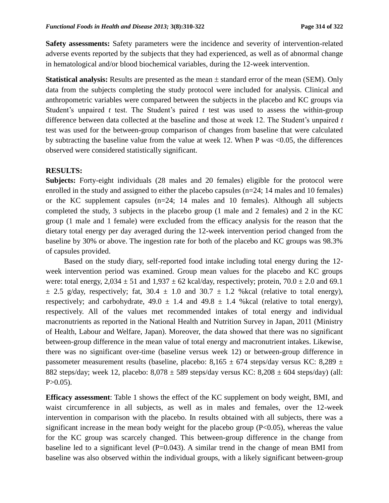**Safety assessments:** Safety parameters were the incidence and severity of intervention-related adverse events reported by the subjects that they had experienced, as well as of abnormal change in hematological and/or blood biochemical variables, during the 12-week intervention.

**Statistical analysis:** Results are presented as the mean  $\pm$  standard error of the mean (SEM). Only data from the subjects completing the study protocol were included for analysis. Clinical and anthropometric variables were compared between the subjects in the placebo and KC groups via Student's unpaired *t* test. The Student's paired *t* test was used to assess the within-group difference between data collected at the baseline and those at week 12. The Student's unpaired *t* test was used for the between-group comparison of changes from baseline that were calculated by subtracting the baseline value from the value at week 12. When P was  $\leq 0.05$ , the differences observed were considered statistically significant.

#### **RESULTS:**

**Subjects:** Forty-eight individuals (28 males and 20 females) eligible for the protocol were enrolled in the study and assigned to either the placebo capsules  $(n=24; 14 \text{ males and } 10 \text{ females})$ or the KC supplement capsules (n=24; 14 males and 10 females). Although all subjects completed the study, 3 subjects in the placebo group (1 male and 2 females) and 2 in the KC group (1 male and 1 female) were excluded from the efficacy analysis for the reason that the dietary total energy per day averaged during the 12-week intervention period changed from the baseline by 30% or above. The ingestion rate for both of the placebo and KC groups was 98.3% of capsules provided.

Based on the study diary, self-reported food intake including total energy during the 12 week intervention period was examined. Group mean values for the placebo and KC groups were: total energy,  $2,034 \pm 51$  and  $1,937 \pm 62$  kcal/day, respectively; protein,  $70.0 \pm 2.0$  and 69.1  $\pm$  2.5 g/day, respectively; fat, 30.4  $\pm$  1.0 and 30.7  $\pm$  1.2 % kcal (relative to total energy), respectively; and carbohydrate,  $49.0 \pm 1.4$  and  $49.8 \pm 1.4$  % kcal (relative to total energy), respectively. All of the values met recommended intakes of total energy and individual macronutrients as reported in the National Health and Nutrition Survey in Japan, 2011 (Ministry of Health, Labour and Welfare, Japan). Moreover, the data showed that there was no significant between-group difference in the mean value of total energy and macronutrient intakes. Likewise, there was no significant over-time (baseline versus week 12) or between-group difference in passometer measurement results (baseline, placebo:  $8,165 \pm 674$  steps/day versus KC:  $8,289 \pm 674$ 882 steps/day; week 12, placebo:  $8,078 \pm 589$  steps/day versus KC:  $8,208 \pm 604$  steps/day) (all:  $P > 0.05$ ).

**Efficacy assessment**: Table 1 shows the effect of the KC supplement on body weight, BMI, and waist circumference in all subjects, as well as in males and females, over the 12-week intervention in comparison with the placebo. In results obtained with all subjects, there was a significant increase in the mean body weight for the placebo group  $(P<0.05)$ , whereas the value for the KC group was scarcely changed. This between-group difference in the change from baseline led to a significant level (P=0.043). A similar trend in the change of mean BMI from baseline was also observed within the individual groups, with a likely significant between-group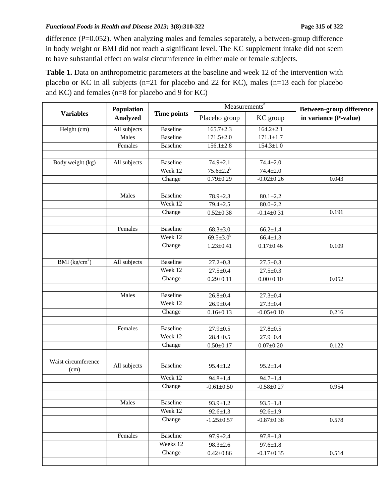#### *Functional Foods in Health and Disease 2013;* **3(8):310-322 Page 315 of 322**

difference (P=0.052). When analyzing males and females separately, a between-group difference in body weight or BMI did not reach a significant level. The KC supplement intake did not seem to have substantial effect on waist circumference in either male or female subjects.

**Table 1.** Data on anthropometric parameters at the baseline and week 12 of the intervention with placebo or KC in all subjects (n=21 for placebo and 22 for KC), males (n=13 each for placebo and KC) and females (n=8 for placebo and 9 for KC)

| <b>Variables</b>            | Population<br><b>Analyzed</b> | <b>Time points</b> | Measurements <sup>a</sup> |                  | <b>Between-group difference</b> |
|-----------------------------|-------------------------------|--------------------|---------------------------|------------------|---------------------------------|
|                             |                               |                    | Placebo group             | KC group         | in variance (P-value)           |
| Height (cm)                 | All subjects                  | <b>Baseline</b>    | $165.7 \pm 2.3$           | $164.2 \pm 2.1$  |                                 |
|                             | Males                         | <b>Baseline</b>    | $171.5 \pm 2.0$           | $171.1 \pm 1.7$  |                                 |
|                             | Females                       | <b>Baseline</b>    | $156.1 \pm 2.8$           | $154.3 \pm 1.0$  |                                 |
|                             |                               |                    |                           |                  |                                 |
| Body weight (kg)            | All subjects                  | <b>Baseline</b>    | $74.9 \pm 2.1$            | $74.4 \pm 2.0$   |                                 |
|                             |                               | Week 12            | $75.6 \pm 2.2^b$          | $74.4 \pm 2.0$   |                                 |
|                             |                               | Change             | $0.79 \pm 0.29$           | $-0.02 \pm 0.26$ | 0.043                           |
|                             |                               |                    |                           |                  |                                 |
|                             | Males                         | <b>Baseline</b>    | $78.9 \pm 2.3$            | $80.1 \pm 2.2$   |                                 |
|                             |                               | Week 12            | $79.4 \pm 2.5$            | $80.0 \pm 2.2$   |                                 |
|                             |                               | Change             | $0.52 \pm 0.38$           | $-0.14 \pm 0.31$ | 0.191                           |
|                             |                               |                    |                           |                  |                                 |
|                             | Females                       | <b>Baseline</b>    | $68.3 \pm 3.0$            | $66.2 \pm 1.4$   |                                 |
|                             |                               | Week 12            | $69.5 \pm 3.0^b$          | $66.4 \pm 1.3$   |                                 |
|                             |                               | Change             | $1.23 \pm 0.41$           | $0.17 \pm 0.46$  | 0.109                           |
|                             |                               |                    |                           |                  |                                 |
| BMI $\frac{kg}{cm^2}$       | All subjects                  | <b>Baseline</b>    | $27.2 \pm 0.3$            | $27.5 \pm 0.3$   |                                 |
|                             |                               | Week 12            | $27.5 \pm 0.4$            | $27.5 \pm 0.3$   |                                 |
|                             |                               | Change             | $0.29 \pm 0.11$           | $0.00 \pm 0.10$  | 0.052                           |
|                             |                               |                    |                           |                  |                                 |
|                             | Males                         | <b>Baseline</b>    | $26.8 \pm 0.4$            | $27.3 \pm 0.4$   |                                 |
|                             |                               | Week 12            | $26.9 \pm 0.4$            | $27.3 \pm 0.4$   |                                 |
|                             |                               | Change             | $0.16 \pm 0.13$           | $-0.05 \pm 0.10$ | 0.216                           |
|                             |                               |                    |                           |                  |                                 |
|                             | Females                       | <b>Baseline</b>    | $27.9 \pm 0.5$            | $27.8 \pm 0.5$   |                                 |
|                             |                               | Week 12            | $28.4 \pm 0.5$            | $27.9 \pm 0.4$   |                                 |
|                             |                               | Change             | $0.50 \pm 0.17$           | $0.07 + 0.20$    | 0.122                           |
|                             |                               |                    |                           |                  |                                 |
| Waist circumference<br>(cm) | All subjects                  | Baseline           | $95.4 \pm 1.2$            | $95.2 \pm 1.4$   |                                 |
|                             |                               | Week 12            | $94.8 \pm 1.4$            | $94.7 \pm 1.4$   |                                 |
|                             |                               | ${\it Change}$     | $-0.61 + 0.50$            | $-0.58 \pm 0.27$ | 0.954                           |
|                             |                               |                    |                           |                  |                                 |
|                             | Males                         | <b>Baseline</b>    | $93.9 \pm 1.2$            | $93.5 \pm 1.8$   |                                 |
|                             |                               | Week $12$          | $92.6 \pm 1.3$            | $92.6 \pm 1.9$   |                                 |
|                             |                               | Change             | $-1.25 \pm 0.57$          | $-0.87 \pm 0.38$ | 0.578                           |
|                             |                               |                    |                           |                  |                                 |
|                             | Females                       | <b>Baseline</b>    | $97.9 \pm 2.4$            | $97.8 \pm 1.8$   |                                 |
|                             |                               | Weeks 12           | $98.3 \pm 2.6$            | $97.6 \pm 1.8$   |                                 |
|                             |                               | Change             | $0.42 \pm 0.86$           | $-0.17 \pm 0.35$ | 0.514                           |
|                             |                               |                    |                           |                  |                                 |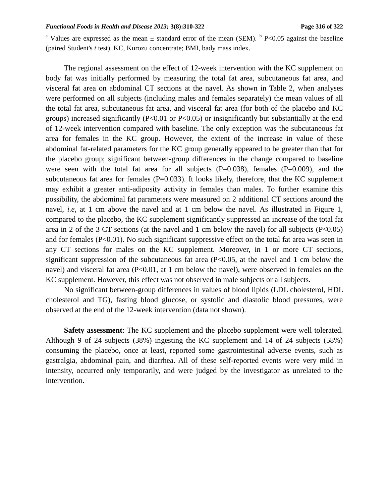#### *Functional Foods in Health and Disease 2013;* **3(8):310-322 Page 316 of 322**

<sup>a</sup> Values are expressed as the mean  $\pm$  standard error of the mean (SEM). <sup>b</sup> P<0.05 against the baseline (paired Student's *t* test). KC, Kurozu concentrate; BMI, bady mass index.

The regional assessment on the effect of 12-week intervention with the KC supplement on body fat was initially performed by measuring the total fat area, subcutaneous fat area, and visceral fat area on abdominal CT sections at the navel. As shown in Table 2, when analyses were performed on all subjects (including males and females separately) the mean values of all the total fat area, subcutaneous fat area, and visceral fat area (for both of the placebo and KC groups) increased significantly ( $P<0.01$  or  $P<0.05$ ) or insignificantly but substantially at the end of 12-week intervention compared with baseline. The only exception was the subcutaneous fat area for females in the KC group. However, the extent of the increase in value of these abdominal fat-related parameters for the KC group generally appeared to be greater than that for the placebo group; significant between-group differences in the change compared to baseline were seen with the total fat area for all subjects  $(P=0.038)$ , females  $(P=0.009)$ , and the subcutaneous fat area for females (P=0.033). It looks likely, therefore, that the KC supplement may exhibit a greater anti-adiposity activity in females than males. To further examine this possibility, the abdominal fat parameters were measured on 2 additional CT sections around the navel, *i.e.*, at 1 cm above the navel and at 1 cm below the navel. As illustrated in Figure 1, compared to the placebo, the KC supplement significantly suppressed an increase of the total fat area in 2 of the 3 CT sections (at the navel and 1 cm below the navel) for all subjects  $(P<0.05)$ and for females  $(P<0.01)$ . No such significant suppressive effect on the total fat area was seen in any CT sections for males on the KC supplement. Moreover, in 1 or more CT sections, significant suppression of the subcutaneous fat area  $(P<0.05$ , at the navel and 1 cm below the navel) and visceral fat area (P<0.01, at 1 cm below the navel), were observed in females on the KC supplement. However, this effect was not observed in male subjects or all subjects.

No significant between-group differences in values of blood lipids (LDL cholesterol, HDL cholesterol and TG), fasting blood glucose, or systolic and diastolic blood pressures, were observed at the end of the 12-week intervention (data not shown).

**Safety assessment**: The KC supplement and the placebo supplement were well tolerated. Although 9 of 24 subjects (38%) ingesting the KC supplement and 14 of 24 subjects (58%) consuming the placebo, once at least, reported some gastrointestinal adverse events, such as gastralgia, abdominal pain, and diarrhea. All of these self-reported events were very mild in intensity, occurred only temporarily, and were judged by the investigator as unrelated to the intervention.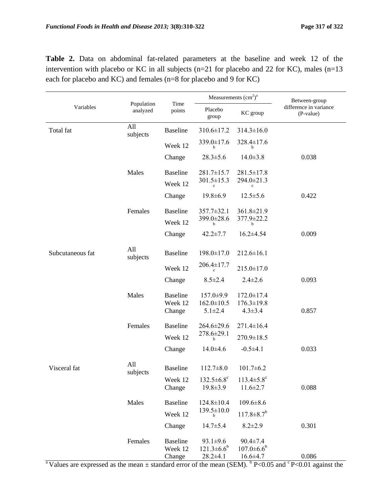|                  |                        | Time<br>points                       | Measurements $(cm2)a$                                 |                                                       | Between-group                       |
|------------------|------------------------|--------------------------------------|-------------------------------------------------------|-------------------------------------------------------|-------------------------------------|
| Variables        | Population<br>analyzed |                                      | Placebo<br>group                                      | KC group                                              | difference in variance<br>(P-value) |
| Total fat        | All<br>subjects        | <b>Baseline</b>                      | 310.6±17.2                                            | $314.3 \pm 16.0$                                      |                                     |
|                  |                        | Week 12                              | 339.0±17.6                                            | 328.4±17.6<br>h                                       |                                     |
|                  |                        | Change                               | $28.3 \pm 5.6$                                        | $14.0 \pm 3.8$                                        | 0.038                               |
|                  | Males                  | <b>Baseline</b>                      | $281.7 \pm 15.7$                                      | $281.5 \pm 17.8$                                      |                                     |
|                  |                        | Week 12                              | $301.5 \pm 15.3$                                      | 294.0±21.3                                            |                                     |
|                  |                        | Change                               | $19.8 \pm 6.9$                                        | $12.5 \pm 5.6$                                        | 0.422                               |
|                  | Females                | <b>Baseline</b>                      | $357.7 \pm 32.1$                                      | 361.8±21.9                                            |                                     |
|                  |                        | Week 12                              | 399.0±28.6<br>b                                       | 377.9±22.2<br>b                                       |                                     |
|                  |                        | Change                               | $42.2 \pm 7.7$                                        | $16.2 \pm 4.54$                                       | 0.009                               |
| Subcutaneous fat | All<br>subjects        | <b>Baseline</b>                      | $198.0 \pm 17.0$                                      | $212.6 \pm 16.1$                                      |                                     |
|                  |                        | Week 12                              | $206.4 \pm 17.7$                                      | $215.0 \pm 17.0$                                      |                                     |
|                  |                        | Change                               | $8.5 \pm 2.4$                                         | $2.4 \pm 2.6$                                         | 0.093                               |
|                  | Males                  | <b>Baseline</b>                      | 157.0±9.9                                             | $172.0 \pm 17.4$                                      |                                     |
|                  |                        | Week 12<br>Change                    | $162.0 \pm 10.5$<br>$5.1 \pm 2.4$                     | $176.3 \pm 19.8$<br>$4.3 \pm 3.4$                     | 0.857                               |
|                  | Females                | <b>Baseline</b>                      | $264.6 \pm 29.6$                                      | $271.4 \pm 16.4$                                      |                                     |
|                  |                        | Week 12                              | $278.6 \pm 29.1$                                      | 270.9±18.5                                            |                                     |
|                  |                        | Change                               | b<br>$14.0 \pm 4.6$                                   | $-0.5 \pm 4.1$                                        | 0.033                               |
| Visceral fat     | All<br>subjects        | <b>Baseline</b>                      | $112.7 \pm 8.0$                                       | $101.7 \pm 6.2$                                       |                                     |
|                  |                        | Week 12                              | $132.5 \pm 6.8$ <sup>c</sup>                          | $113.4 \pm 5.8$ <sup>c</sup>                          |                                     |
|                  |                        | Change                               | $19.8 \pm 3.9$                                        | $11.6 \pm 2.7$                                        | 0.088                               |
|                  | Males                  | <b>Baseline</b>                      | $124.8 \pm 10.4$                                      | $109.6 \pm 8.6$                                       |                                     |
|                  |                        | Week 12                              | $139.5 \pm 10.0$<br>b                                 | $117.8 \pm 8.7$ <sup>b</sup>                          |                                     |
|                  |                        | Change                               | $14.7 \pm 5.4$                                        | $8.2 \pm 2.9$                                         | 0.301                               |
|                  | Females                | <b>Baseline</b><br>Week 12<br>Change | $93.1 \pm 9.6$<br>$121.3 \pm 6.6^b$<br>$28.2 \pm 4.1$ | $90.4 \pm 7.4$<br>$107.0 \pm 6.6^b$<br>$16.6 \pm 4.7$ | 0.086                               |

**Table 2.** Data on abdominal fat-related parameters at the baseline and week 12 of the intervention with placebo or KC in all subjects (n=21 for placebo and 22 for KC), males (n=13 each for placebo and KC) and females (n=8 for placebo and 9 for KC)

<sup>a</sup> Values are expressed as the mean  $\pm$  standard error of the mean (SEM). <sup>b</sup> P<0.05 and <sup>c</sup> P<0.01 against the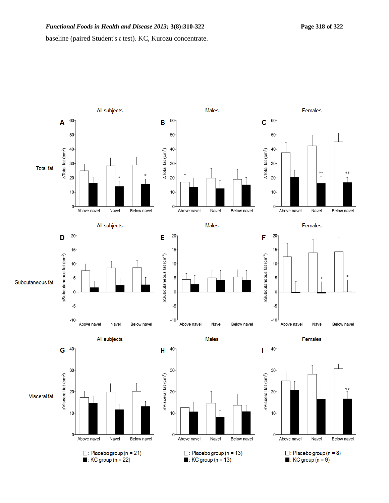baseline (paired Student's *t* test). KC, Kurozu concentrate.

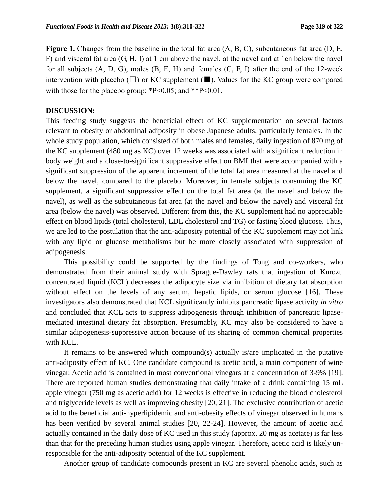**Figure 1.** Changes from the baseline in the total fat area (A, B, C), subcutaneous fat area (D, E, F) and visceral fat area (G, H, I) at 1 cm above the navel, at the navel and at 1cn below the navel for all subjects (A, D, G), males (B, E, H) and females (C, F, I) after the end of the 12-week intervention with placebo  $(\square)$  or KC supplement ( $\square$ ). Values for the KC group were compared with those for the placebo group:  $P<0.05$ ; and  $*P<0.01$ .

## **DISCUSSION:**

This feeding study suggests the beneficial effect of KC supplementation on several factors relevant to obesity or abdominal adiposity in obese Japanese adults, particularly females. In the whole study population, which consisted of both males and females, daily ingestion of 870 mg of the KC supplement (480 mg as KC) over 12 weeks was associated with a significant reduction in body weight and a close-to-significant suppressive effect on BMI that were accompanied with a significant suppression of the apparent increment of the total fat area measured at the navel and below the navel, compared to the placebo. Moreover, in female subjects consuming the KC supplement, a significant suppressive effect on the total fat area (at the navel and below the navel), as well as the subcutaneous fat area (at the navel and below the navel) and visceral fat area (below the navel) was observed. Different from this, the KC supplement had no appreciable effect on blood lipids (total cholesterol, LDL cholesterol and TG) or fasting blood glucose. Thus, we are led to the postulation that the anti-adiposity potential of the KC supplement may not link with any lipid or glucose metabolisms but be more closely associated with suppression of adipogenesis.

This possibility could be supported by the findings of Tong and co-workers, who demonstrated from their animal study with Sprague-Dawley rats that ingestion of Kurozu concentrated liquid (KCL) decreases the adipocyte size via inhibition of dietary fat absorption without effect on the levels of any serum, hepatic lipids, or serum glucose [16]. These investigators also demonstrated that KCL significantly inhibits pancreatic lipase activity *in vitro* and concluded that KCL acts to suppress adipogenesis through inhibition of pancreatic lipasemediated intestinal dietary fat absorption. Presumably, KC may also be considered to have a similar adipogenesis-suppressive action because of its sharing of common chemical properties with KCL.

It remains to be answered which compound(s) actually is/are implicated in the putative anti-adiposity effect of KC. One candidate compound is acetic acid, a main component of wine vinegar. Acetic acid is contained in most conventional vinegars at a concentration of 3-9% [19]. There are reported human studies demonstrating that daily intake of a drink containing 15 mL apple vinegar (750 mg as acetic acid) for 12 weeks is effective in reducing the blood cholesterol and triglyceride levels as well as improving obesity [20, 21]. The exclusive contribution of acetic acid to the beneficial anti-hyperlipidemic and anti-obesity effects of vinegar observed in humans has been verified by several animal studies [20, 22-24]. However, the amount of acetic acid actually contained in the daily dose of KC used in this study (approx. 20 mg as acetate) is far less than that for the preceding human studies using apple vinegar. Therefore, acetic acid is likely unresponsible for the anti-adiposity potential of the KC supplement.

Another group of candidate compounds present in KC are several phenolic acids, such as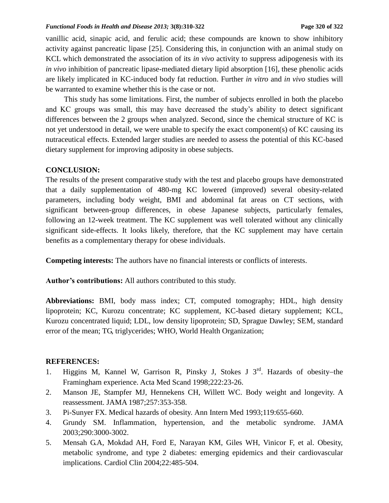#### *Functional Foods in Health and Disease 2013;* **3(8):310-322 Page 320 of 322**

vanillic acid, sinapic acid, and ferulic acid; these compounds are known to show inhibitory activity against pancreatic lipase [25]. Considering this, in conjunction with an animal study on KCL which demonstrated the association of its *in vivo* activity to suppress adipogenesis with its *in vivo* inhibition of pancreatic lipase-mediated dietary lipid absorption [16], these phenolic acids are likely implicated in KC-induced body fat reduction. Further *in vitro* and *in vivo* studies will be warranted to examine whether this is the case or not.

This study has some limitations. First, the number of subjects enrolled in both the placebo and KC groups was small, this may have decreased the study's ability to detect significant differences between the 2 groups when analyzed. Second, since the chemical structure of KC is not yet understood in detail, we were unable to specify the exact component(s) of KC causing its nutraceutical effects. Extended larger studies are needed to assess the potential of this KC-based dietary supplement for improving adiposity in obese subjects.

## **CONCLUSION:**

The results of the present comparative study with the test and placebo groups have demonstrated that a daily supplementation of 480-mg KC lowered (improved) several obesity-related parameters, including body weight, BMI and abdominal fat areas on CT sections, with significant between-group differences, in obese Japanese subjects, particularly females, following an 12-week treatment. The KC supplement was well tolerated without any clinically significant side-effects. It looks likely, therefore, that the KC supplement may have certain benefits as a complementary therapy for obese individuals.

**Competing interests:** The authors have no financial interests or conflicts of interests.

**Author's contributions:** All authors contributed to this study.

**Abbreviations:** BMI, body mass index; CT, computed tomography; HDL, high density lipoprotein; KC, Kurozu concentrate; KC supplement, KC-based dietary supplement; KCL, Kurozu concentrated liquid; LDL, low density lipoprotein; SD, Sprague Dawley; SEM, standard error of the mean; TG, triglycerides; WHO, World Health Organization;

## **REFERENCES:**

- 1. Higgins M, Kannel W, Garrison R, Pinsky J, Stokes J  $3<sup>rd</sup>$ . Hazards of obesity-the Framingham experience. Acta Med Scand 1998;222:23-26.
- 2. Manson JE, Stampfer MJ, Hennekens CH, Willett WC. Body weight and longevity. A reassessment. JAMA 1987;257:353-358.
- 3. Pi-Sunyer FX. Medical hazards of obesity. Ann Intern Med 1993;119:655-660.
- 4. Grundy SM. Inflammation, hypertension, and the metabolic syndrome. JAMA 2003;290:3000-3002.
- 5. Mensah G.A, Mokdad AH, Ford E, Narayan KM, Giles WH, Vinicor F, et al. Obesity, metabolic syndrome, and type 2 diabetes: emerging epidemics and their cardiovascular implications. Cardiol Clin 2004;22:485-504.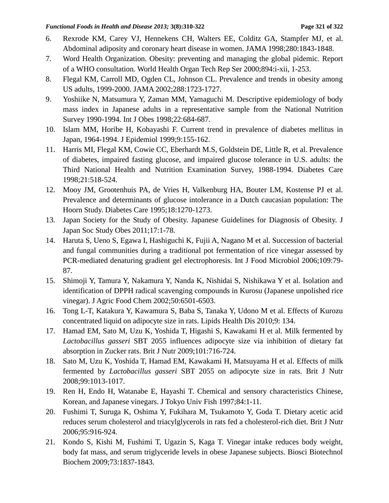- 6. Rexrode KM, Carey VJ, Hennekens CH, Walters EE, Colditz GA, Stampfer MJ, et al. Abdominal adiposity and coronary heart disease in women. JAMA 1998;280:1843-1848.
- 7. Word Health Organization. Obesity: preventing and managing the global pidemic. Report of a WHO consultation. World Health Organ Tech Rep Ser 2000;894:i-xii, 1-253.
- 8. Flegal KM, Carroll MD, Ogden CL, Johnson CL. Prevalence and trends in obesity among US adults, 1999-2000. JAMA 2002;288:1723-1727.
- 9. Yoshiike N, Matsumura Y, Zaman MM, Yamaguchi M. Descriptive epidemiology of body mass index in Japanese adults in a representative sample from the National Nutrition Survey 1990-1994. Int J Obes 1998;22:684-687.
- 10. Islam MM, Horibe H, Kobayashi F. Current trend in prevalence of diabetes mellitus in Japan, 1964-1994. J Epidemiol 1999;9:155-162.
- 11. Harris MI, Flegal KM, Cowie CC, Eberhardt M.S, Goldstein DE, Little R, et al. Prevalence of diabetes, impaired fasting glucose, and impaired glucose tolerance in U.S. adults: the Third National Health and Nutrition Examination Survey, 1988-1994. Diabetes Care 1998;21:518-524.
- 12. Mooy JM, Grootenhuis PA, de Vries H, Valkenburg HA, Bouter LM, Kostense PJ et al. Prevalence and determinants of glucose intolerance in a Dutch caucasian population: The Hoorn Study. Diabetes Care 1995;18:1270-1273.
- 13. Japan Society for the Study of Obesity. Japanese Guidelines for Diagnosis of Obesity. J Japan Soc Study Obes 2011;17:1-78.
- 14. Haruta S, Ueno S, Egawa I, Hashiguchi K, Fujii A, Nagano M et al. Succession of bacterial and fungal communities during a traditional pot fermentation of rice vinegar assessed by PCR-mediated denaturing gradient gel electrophoresis. Int J Food Microbiol 2006;109:79- 87.
- 15. Shimoji Y, Tamura Y, Nakamura Y, Nanda K, Nishidai S, Nishikawa Y et al. Isolation and identification of DPPH radical scavenging compounds in Kurosu (Japanese unpolished rice vinegar). J Agric Food Chem 2002;50:6501-6503.
- 16. Tong L-T, Katakura Y, Kawamura S, Baba S, Tanaka Y, Udono M et al. Effects of Kurozu concentrated liquid on adipocyte size in rats. Lipids Health Dis 2010;9: 134.
- 17. Hamad EM, Sato M, Uzu K, Yoshida T, Higashi S, Kawakami H et al. Milk fermented by *Lactobacillus gasseri* SBT 2055 influences adipocyte size via inhibition of dietary fat absorption in Zucker rats. Brit J Nutr 2009;101:716-724.
- 18. Sato M, Uzu K, Yoshida T, Hamad EM, Kawakami H, Matsuyama H et al. Effects of milk fermented by *Lactobacillus gasseri* SBT 2055 on adipocyte size in rats. Brit J Nutr 2008;99:1013-1017.
- 19. Ren H, Endo H, Watanabe E, Hayashi T. Chemical and sensory characteristics Chinese, Korean, and Japanese vinegars. J Tokyo Univ Fish 1997;84:1-11.
- 20. Fushimi T, Suruga K, Oshima Y, Fukihara M, Tsukamoto Y, Goda T. Dietary acetic acid reduces serum cholesterol and triacylglycerols in rats fed a cholesterol-rich diet. Brit J Nutr 2006;95:916-924.
- 21. Kondo S, Kishi M, Fushimi T, Ugazin S, Kaga T. Vinegar intake reduces body weight, body fat mass, and serum triglyceride levels in obese Japanese subjects. Biosci Biotechnol Biochem 2009;73:1837-1843.